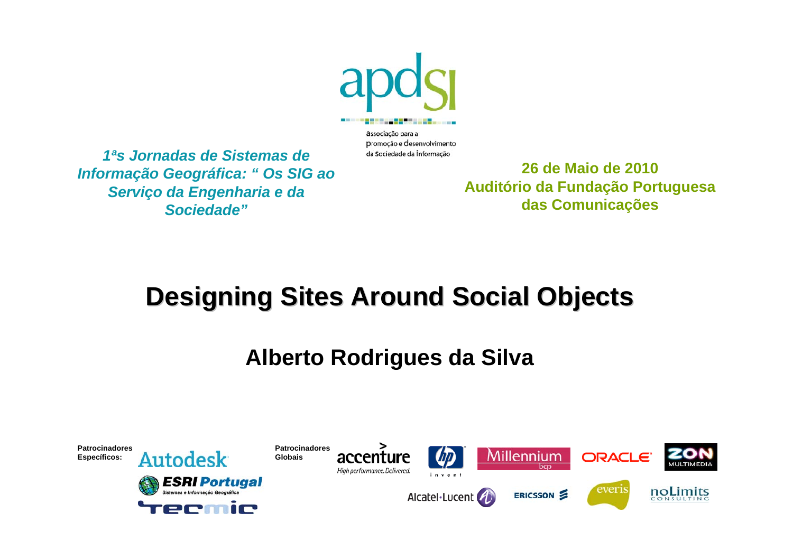

associação para a promoção e desenvolvimento da Sociedade da Informação

*1ªs Jornadas de Sistemas de Informação Geográfica: " Os SIG ao Serviço da Engenharia e da Sociedade"*

**26 de Maio de 2010Auditório da Fundação Portuguesa das Comunicações**

# **Designing Sites Around Social Objects**

## **Alberto Rodrigues da Silva**

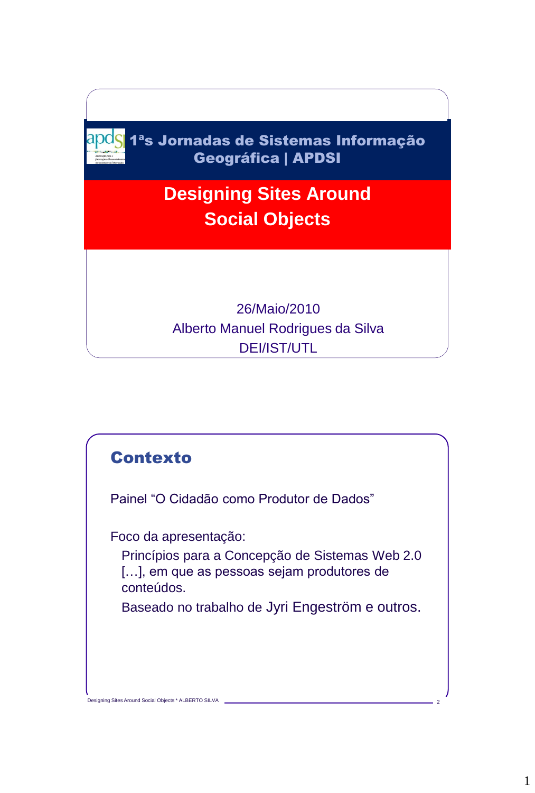

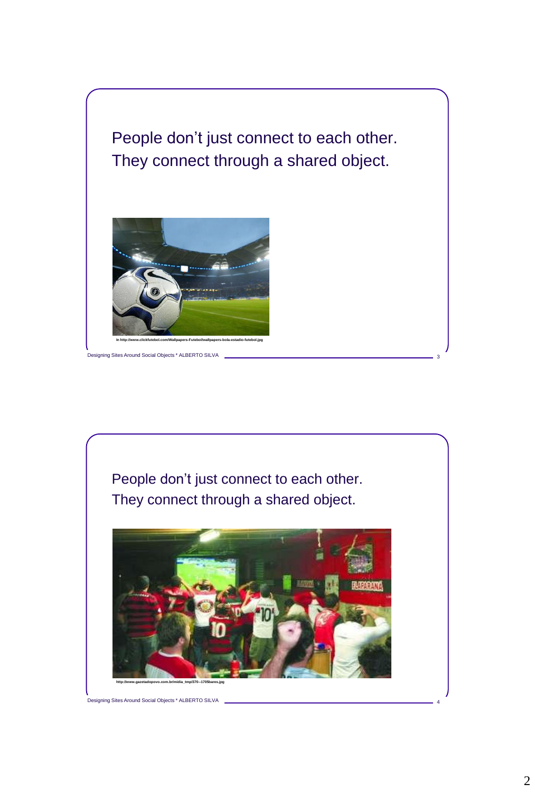



Designing Sites Around Social Objects \* ALBERTO SILVA 4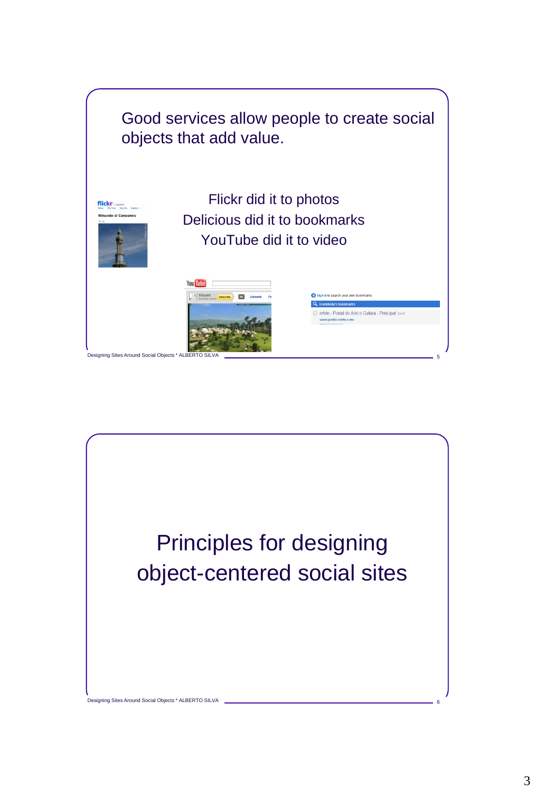

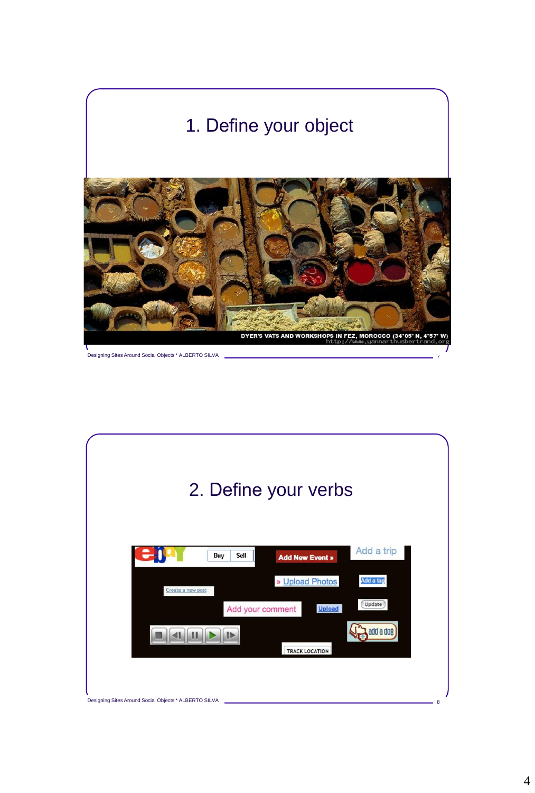

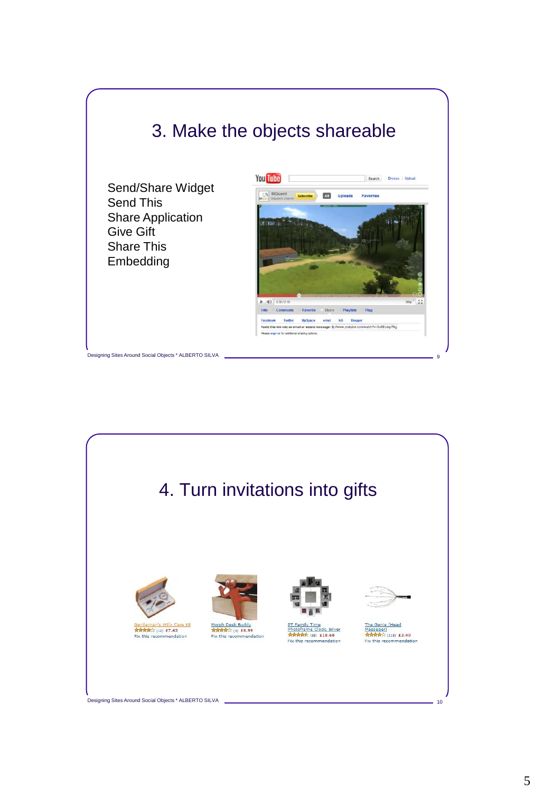## 3. Make the objects shareable

Send/Share Widget Send This Share Application Give Gift Share This Embedding

Designing Sites Around Social Objects \* ALBERTO SILVA 9





Designing Sites Around Social Objects \* ALBERTO SILVA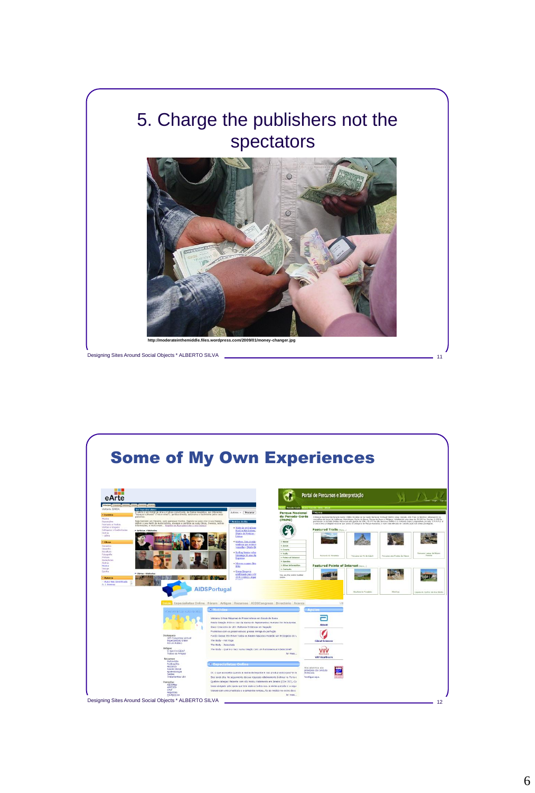

Designing Sites Around Social Objects \* ALBERTO SILVA